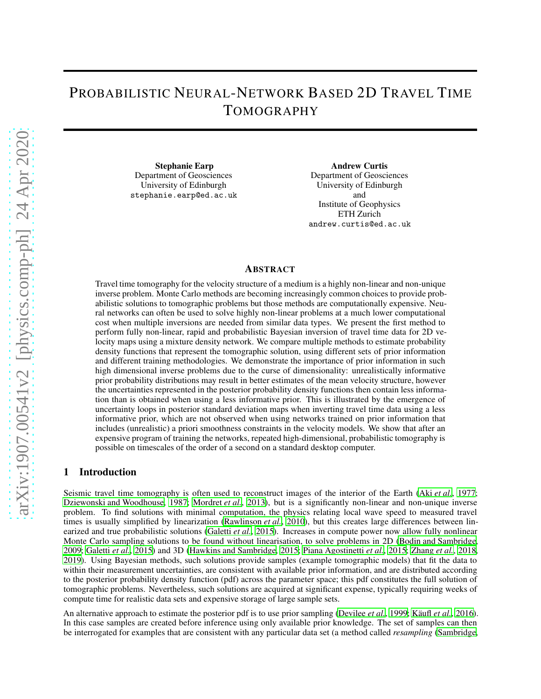# PROBABILISTIC NEURAL-NETWORK BASED 2D TRAVEL TIME TOMOGRAPHY

Stephanie Earp Department of Geosciences University of Edinburgh stephanie.earp@ed.ac.uk

Andrew Curtis Department of Geosciences University of Edinburgh and Institute of Geophysics ETH Zurich andrew.curtis@ed.ac.uk

#### ABSTRACT

Travel time tomography for the velocity structure of a medium is a highly non-linear and non-unique inverse problem. Monte Carlo methods are becoming increasingly common choices to provide probabilistic solutions to tomographic problems but those methods are computationally expensive. Neural networks can often be used to solve highly non-linear problems at a much lower computational cost when multiple inversions are needed from similar data types. We present the first method to perform fully non-linear, rapid and probabilistic Bayesian inversion of travel time data for 2D velocity maps using a mixture density network. We compare multiple methods to estimate probability density functions that represent the tomographic solution, using different sets of prior information and different training methodologies. We demonstrate the importance of prior information in such high dimensional inverse problems due to the curse of dimensionality: unrealistically informative prior probability distributions may result in better estimates of the mean velocity structure, however the uncertainties represented in the posterior probability density functions then contain less information than is obtained when using a less informative prior. This is illustrated by the emergence of uncertainty loops in posterior standard deviation maps when inverting travel time data using a less informative prior, which are not observed when using networks trained on prior information that includes (unrealistic) a priori smoothness constraints in the velocity models. We show that after an expensive program of training the networks, repeated high-dimensional, probabilistic tomography is possible on timescales of the order of a second on a standard desktop computer.

# 1 Introduction

Seismic travel time tomography is often used to reconstruct images of the interior of the Earth (Aki *[et al.](#page-18-0)*, [1977](#page-18-0); [Dziewonski and Woodhouse, 1987;](#page-19-0) [Mordret](#page-19-1) *et al.*, [2013\)](#page-19-1), but is a significantly non-linear and non-unique inverse problem. To find solutions with minimal computation, the physics relating local wave speed to measured travel times is usually simplified by linearization [\(Rawlinson](#page-19-2) *et al.*, [2010\)](#page-19-2), but this creates large differences between linearized and true probabilistic solutions [\(Galetti](#page-19-3) *et al.*, [2015\)](#page-19-3). Increases in compute power now allow fully nonlinear Monte Carlo sampling solutions to be found without linearisation, to solve problems in 2D [\(Bodin and Sambridge,](#page-18-1) [2009;](#page-18-1) [Galetti](#page-19-3) *et al.*, [2015\)](#page-19-3) and 3D [\(Hawkins and Sambridge](#page-19-4), [2015;](#page-19-4) [Piana Agostinetti](#page-19-5) *et al.*, [2015;](#page-19-5) [Zhang](#page-20-0) *et al.*, [2018,](#page-20-0) [2019\)](#page-20-1). Using Bayesian methods, such solutions provide samples (example tomographic models) that fit the data to within their measurement uncertainties, are consistent with available prior information, and are distributed according to the posterior probability density function (pdf) across the parameter space; this pdf constitutes the full solution of tomographic problems. Nevertheless, such solutions are acquired at significant expense, typically requiring weeks of compute time for realistic data sets and expensive storage of large sample sets.

An alternative approach to estimate the posterior pdf is to use prior sampling [\(Devilee](#page-18-2) *et al.*, [1999](#page-18-2); [Käufl](#page-19-6) *et al.*, [2016\)](#page-19-6). In this case samples are created before inference using only available prior knowledge. The set of samples can then be interrogated for examples that are consistent with any particular data set (a method called *resampling* [\(Sambridge,](#page-20-2)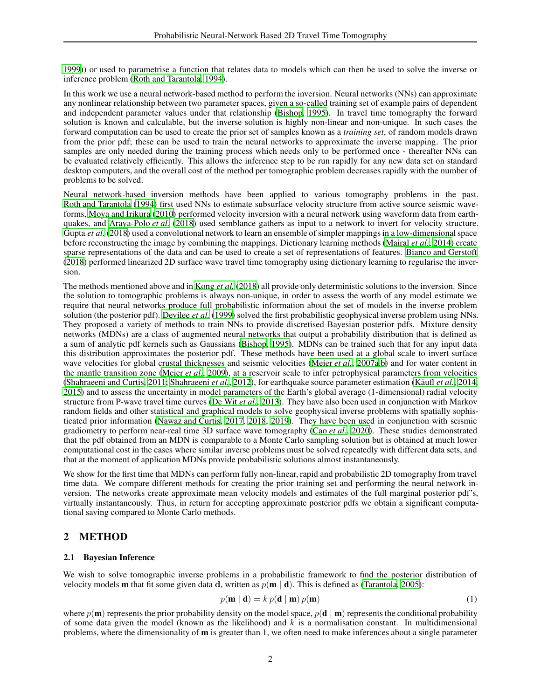[1999](#page-20-2))) or used to parametrise a function that relates data to models which can then be used to solve the inverse or inference problem [\(Roth and Tarantola, 1994\)](#page-19-7).

In this work we use a neural network-based method to perform the inversion. Neural networks (NNs) can approximate any nonlinear relationship between two parameter spaces, given a so-called training set of example pairs of dependent and independent parameter values under that relationship [\(Bishop, 1995\)](#page-18-3). In travel time tomography the forward solution is known and calculable, but the inverse solution is highly non-linear and non-unique. In such cases the forward computation can be used to create the prior set of samples known as a *training set*, of random models drawn from the prior pdf; these can be used to train the neural networks to approximate the inverse mapping. The prior samples are only needed during the training process which needs only to be performed once - thereafter NNs can be evaluated relatively efficiently. This allows the inference step to be run rapidly for any new data set on standard desktop computers, and the overall cost of the method per tomographic problem decreases rapidly with the number of problems to be solved.

Neural network-based inversion methods have been applied to various tomography problems in the past. [Roth and Tarantola \(1994\)](#page-19-7) first used NNs to estimate subsurface velocity structure from active source seismic waveforms, [Moya and Irikura \(2010\)](#page-19-8) performed velocity inversion with a neural network using waveform data from earth-quakes, and [Araya-Polo](#page-18-4) *et al.* [\(2018\)](#page-18-4) used semblance gathers as input to a network to invert for velocity structure. [Gupta](#page-19-9) *et al.* [\(2018\)](#page-19-9) used a convolutional network to learn an ensemble of simpler mappings in a low-dimensional space before reconstructing the image by combining the mappings. Dictionary learning methods [\(Mairal](#page-19-10) *et al.*, [2014\)](#page-19-10) create sparse representations of the data and can be used to create a set of representations of features. [Bianco and Gerstoft](#page-18-5) [\(2018\)](#page-18-5) performed linearized 2D surface wave travel time tomography using dictionary learning to regularise the inversion.

The methods mentioned above and in [Kong](#page-19-11) *et al.* [\(2018\)](#page-19-11) all provide only deterministic solutions to the inversion. Since the solution to tomographic problems is always non-unique, in order to assess the worth of any model estimate we require that neural networks produce full probabilistic information about the set of models in the inverse problem solution (the posterior pdf). [Devilee](#page-18-2) *et al.* [\(1999\)](#page-18-2) solved the first probabilistic geophysical inverse problem using NNs. They proposed a variety of methods to train NNs to provide discretised Bayesian posterior pdfs. Mixture density networks (MDNs) are a class of augmented neural networks that output a probability distribution that is defined as a sum of analytic pdf kernels such as Gaussians [\(Bishop, 1995](#page-18-3)). MDNs can be trained such that for any input data this distribution approximates the posterior pdf. These methods have been used at a global scale to invert surface wave velocities for global crustal thicknesses and seismic velocities [\(Meier](#page-19-12) *et al.*, [2007a](#page-19-12)[,b\)](#page-19-13) and for water content in the mantle transition zone [\(Meier](#page-19-14) *et al.*, [2009](#page-19-14)), at a reservoir scale to infer petrophysical parameters from velocities [\(Shahraeeni and Curtis, 2011;](#page-20-3) [Shahraeeni](#page-20-4) *et al.*, [2012](#page-20-4)), for earthquake source parameter estimation [\(Käufl](#page-19-15) *et al.*, [2014,](#page-19-15) [2015\)](#page-19-16) and to assess the uncertainty in model parameters of the Earth's global average (1-dimensional) radial velocity structure from P-wave travel time curves [\(De Wit](#page-18-6) *et al.*, [2013\)](#page-18-6). They have also been used in conjunction with Markov random fields and other statistical and graphical models to solve geophysical inverse problems with spatially sophisticated prior information [\(Nawaz and Curtis](#page-19-17), [2017,](#page-19-17) [2018](#page-19-18), [2019\)](#page-19-19). They have been used in conjunction with seismic gradiometry to perform near-real time 3D surface wave tomography (Cao *[et al.](#page-18-7)*, [2020\)](#page-18-7). These studies demonstrated that the pdf obtained from an MDN is comparable to a Monte Carlo sampling solution but is obtained at much lower computational cost in the cases where similar inverse problems must be solved repeatedly with different data sets, and that at the moment of application MDNs provide probabilistic solutions almost instantaneously.

We show for the first time that MDNs can perform fully non-linear, rapid and probabilistic 2D tomography from travel time data. We compare different methods for creating the prior training set and performing the neural network inversion. The networks create approximate mean velocity models and estimates of the full marginal posterior pdf's, virtually instantaneously. Thus, in return for accepting approximate posterior pdfs we obtain a significant computational saving compared to Monte Carlo methods.

# 2 METHOD

#### 2.1 Bayesian Inference

We wish to solve tomographic inverse problems in a probabilistic framework to find the posterior distribution of velocity models **m** that fit some given data d, written as  $p(\mathbf{m} \mid \mathbf{d})$ . This is defined as [\(Tarantola, 2005](#page-20-5)):

$$
p(\mathbf{m} \mid \mathbf{d}) = k p(\mathbf{d} \mid \mathbf{m}) p(\mathbf{m})
$$
\n(1)

where  $p(\mathbf{m})$  represents the prior probability density on the model space,  $p(\mathbf{d} | \mathbf{m})$  represents the conditional probability of some data given the model (known as the likelihood) and  $k$  is a normalisation constant. In multidimensional problems, where the dimensionality of  **is greater than 1, we often need to make inferences about a single parameter**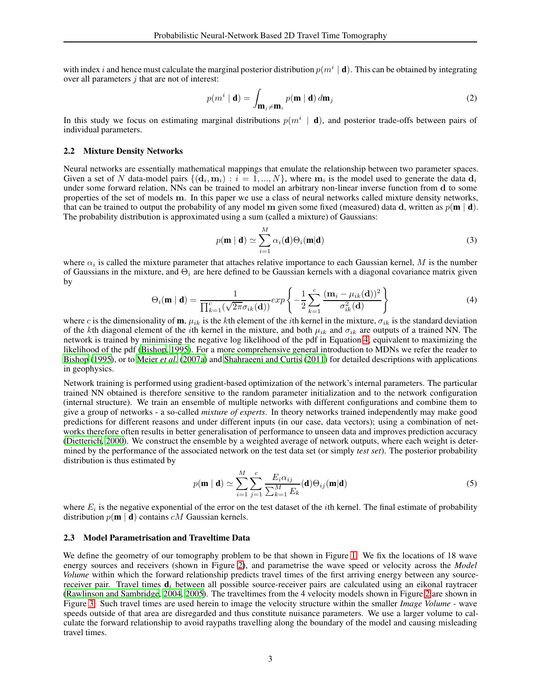with index i and hence must calculate the marginal posterior distribution  $p(m^i | \mathbf{d})$ . This can be obtained by integrating over all parameters  $i$  that are not of interest:

<span id="page-2-2"></span>
$$
p(m^i \mid \mathbf{d}) = \int_{\mathbf{m}_j \neq \mathbf{m}_i} p(\mathbf{m} \mid \mathbf{d}) \, d\mathbf{m}_j
$$
 (2)

In this study we focus on estimating marginal distributions  $p(m^i | \mathbf{d})$ , and posterior trade-offs between pairs of individual parameters.

#### 2.2 Mixture Density Networks

Neural networks are essentially mathematical mappings that emulate the relationship between two parameter spaces. Given a set of N data-model pairs  $\{(\mathbf{d}_i, \mathbf{m}_i) : i = 1, ..., N\}$ , where  $\mathbf{m}_i$  is the model used to generate the data  $\mathbf{d}_i$ under some forward relation, NNs can be trained to model an arbitrary non-linear inverse function from d to some properties of the set of models m. In this paper we use a class of neural networks called mixture density networks, that can be trained to output the probability of any model m given some fixed (measured) data d, written as  $p(\mathbf{m} \mid \mathbf{d})$ . The probability distribution is approximated using a sum (called a mixture) of Gaussians:

$$
p(\mathbf{m} \mid \mathbf{d}) \simeq \sum_{i=1}^{M} \alpha_i(\mathbf{d}) \Theta_i(\mathbf{m} \mid \mathbf{d})
$$
\n(3)

where  $\alpha_i$  is called the mixture parameter that attaches relative importance to each Gaussian kernel, M is the number of Gaussians in the mixture, and  $\Theta_i$  are here defined to be Gaussian kernels with a diagonal covariance matrix given by

<span id="page-2-0"></span>
$$
\Theta_i(\mathbf{m} \mid \mathbf{d}) = \frac{1}{\prod_{k=1}^c (\sqrt{2\pi} \sigma_{ik}(\mathbf{d}))} exp\left\{-\frac{1}{2} \sum_{k=1}^c \frac{(\mathbf{m}_i - \mu_{ik}(\mathbf{d}))^2}{\sigma_{ik}^2(\mathbf{d})}\right\}
$$
(4)

where c is the dimensionality of  $\mathbf{m}$ ,  $\mu_{ik}$  is the kth element of the *i*th kernel in the mixture,  $\sigma_{ik}$  is the standard deviation of the kth diagonal element of the *i*th kernel in the mixture, and both  $\mu_{ik}$  and  $\sigma_{ik}$  are outputs of a trained NN. The network is trained by minimising the negative log likelihood of the pdf in Equation [4,](#page-2-0) equivalent to maximizing the likelihood of the pdf [\(Bishop](#page-18-3), [1995](#page-18-3)). For a more comprehensive general introduction to MDNs we refer the reader to [Bishop \(1995\)](#page-18-3), or to [Meier](#page-19-12) *et al.* [\(2007a\)](#page-19-12) and [Shahraeeni and Curtis](#page-20-3) [\(2011\)](#page-20-3) for detailed descriptions with applications in geophysics.

Network training is performed using gradient-based optimization of the network's internal parameters. The particular trained NN obtained is therefore sensitive to the random parameter initialization and to the network configuration (internal structure). We train an ensemble of multiple networks with different configurations and combine them to give a group of networks - a so-called *mixture of experts*. In theory networks trained independently may make good predictions for different reasons and under different inputs (in our case, data vectors); using a combination of networks therefore often results in better generalisation of performance to unseen data and improves prediction accuracy [\(Dietterich, 2000\)](#page-18-8). We construct the ensemble by a weighted average of network outputs, where each weight is determined by the performance of the associated network on the test data set (or simply *test set*). The posterior probability distribution is thus estimated by

<span id="page-2-1"></span>
$$
p(\mathbf{m} \mid \mathbf{d}) \simeq \sum_{i=1}^{M} \sum_{j=1}^{c} \frac{E_i \alpha_{ij}}{\sum_{k=1}^{M} E_k}(\mathbf{d}) \Theta_{ij}(\mathbf{m} \mid \mathbf{d}) \tag{5}
$$

where  $E_i$  is the negative exponential of the error on the test dataset of the *i*th kernel. The final estimate of probability distribution  $p(m | d)$  contains *cM* Gaussian kernels.

#### 2.3 Model Parametrisation and Traveltime Data

We define the geometry of our tomography problem to be that shown in Figure [1.](#page-3-0) We fix the locations of 18 wave energy sources and receivers (shown in Figure [2\)](#page-3-1), and parametrise the wave speed or velocity across the *Model Volume* within which the forward relationship predicts travel times of the first arriving energy between any sourcereceiver pair. Travel times  $\mathbf{d}_i$  between all possible source-receiver pairs are calculated using an eikonal raytracer [\(Rawlinson and Sambridge](#page-19-20), [2004,](#page-19-20) [2005](#page-19-21)). The traveltimes from the 4 velocity models shown in Figure [2](#page-3-1) are shown in Figure [3.](#page-4-0) Such travel times are used herein to image the velocity structure within the smaller *Image Volume* - wave speeds outside of that area are disregarded and thus constitute nuisance parameters. We use a larger volume to calculate the forward relationship to avoid raypaths travelling along the boundary of the model and causing misleading travel times.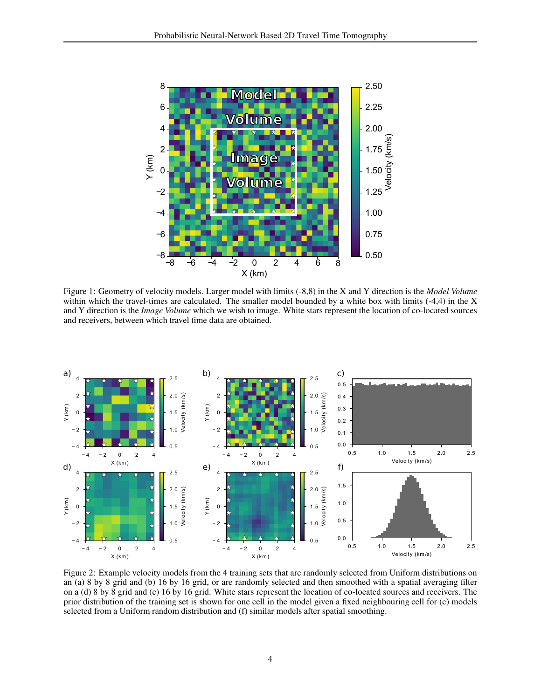

<span id="page-3-0"></span>Figure 1: Geometry of velocity models. Larger model with limits (-8,8) in the X and Y direction is the *Model Volume* within which the travel-times are calculated. The smaller model bounded by a white box with limits (-4,4) in the X and Y direction is the *Image Volume* which we wish to image. White stars represent the location of co-located sources and receivers, between which travel time data are obtained.



<span id="page-3-1"></span>Figure 2: Example velocity models from the 4 training sets that are randomly selected from Uniform distributions on an (a) 8 by 8 grid and (b) 16 by 16 grid, or are randomly selected and then smoothed with a spatial averaging filter on a (d) 8 by 8 grid and (e) 16 by 16 grid. White stars represent the location of co-located sources and receivers. The prior distribution of the training set is shown for one cell in the model given a fixed neighbouring cell for (c) models selected from a Uniform random distribution and (f) similar models after spatial smoothing.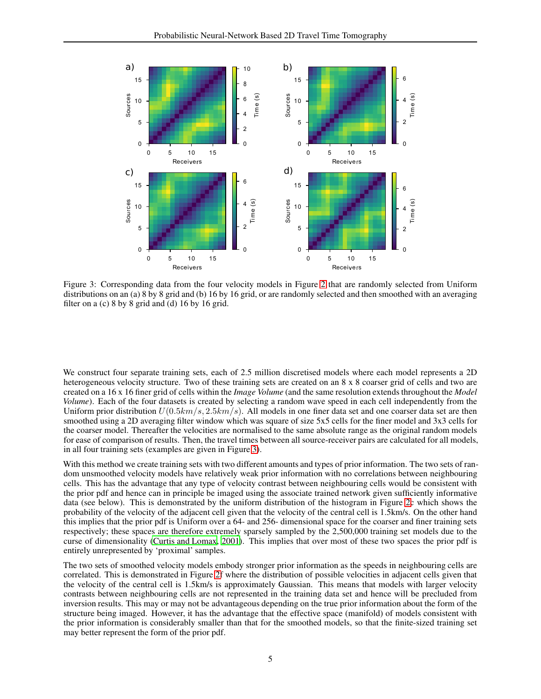

<span id="page-4-0"></span>Figure 3: Corresponding data from the four velocity models in Figure [2](#page-3-1) that are randomly selected from Uniform distributions on an (a) 8 by 8 grid and (b) 16 by 16 grid, or are randomly selected and then smoothed with an averaging filter on a (c) 8 by 8 grid and (d) 16 by 16 grid.

We construct four separate training sets, each of 2.5 million discretised models where each model represents a 2D heterogeneous velocity structure. Two of these training sets are created on an 8 x 8 coarser grid of cells and two are created on a 16 x 16 finer grid of cells within the *Image Volume* (and the same resolution extends throughout the *Model Volume*). Each of the four datasets is created by selecting a random wave speed in each cell independently from the Uniform prior distribution  $U(0.5km/s, 2.5km/s)$ . All models in one finer data set and one coarser data set are then smoothed using a 2D averaging filter window which was square of size 5x5 cells for the finer model and 3x3 cells for the coarser model. Thereafter the velocities are normalised to the same absolute range as the original random models for ease of comparison of results. Then, the travel times between all source-receiver pairs are calculated for all models, in all four training sets (examples are given in Figure [3\)](#page-4-0).

With this method we create training sets with two different amounts and types of prior information. The two sets of random unsmoothed velocity models have relatively weak prior information with no correlations between neighbouring cells. This has the advantage that any type of velocity contrast between neighbouring cells would be consistent with the prior pdf and hence can in principle be imaged using the associate trained network given sufficiently informative data (see below). This is demonstrated by the uniform distribution of the histogram in Figure [2c](#page-3-1) which shows the probability of the velocity of the adjacent cell given that the velocity of the central cell is 1.5km/s. On the other hand this implies that the prior pdf is Uniform over a 64- and 256- dimensional space for the coarser and finer training sets respectively; these spaces are therefore extremely sparsely sampled by the 2,500,000 training set models due to the curse of dimensionality [\(Curtis and Lomax, 2001\)](#page-18-9). This implies that over most of these two spaces the prior pdf is entirely unrepresented by 'proximal' samples.

The two sets of smoothed velocity models embody stronger prior information as the speeds in neighbouring cells are correlated. This is demonstrated in Figure [2f](#page-3-1) where the distribution of possible velocities in adjacent cells given that the velocity of the central cell is 1.5km/s is approximately Gaussian. This means that models with larger velocity contrasts between neighbouring cells are not represented in the training data set and hence will be precluded from inversion results. This may or may not be advantageous depending on the true prior information about the form of the structure being imaged. However, it has the advantage that the effective space (manifold) of models consistent with the prior information is considerably smaller than that for the smoothed models, so that the finite-sized training set may better represent the form of the prior pdf.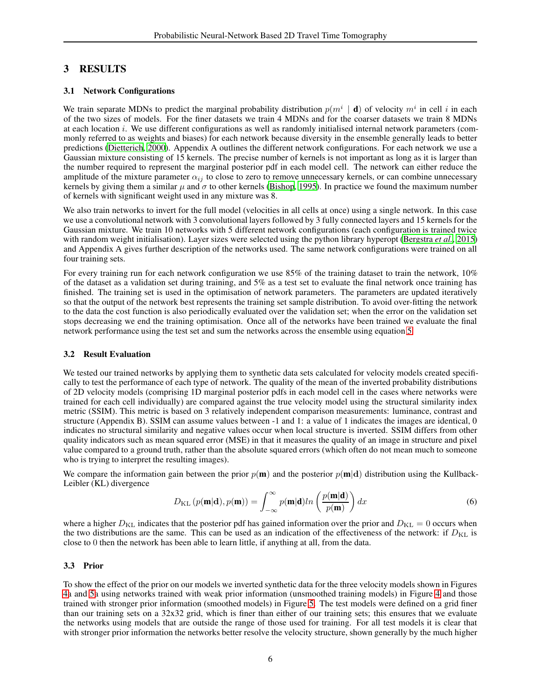# 3 RESULTS

### 3.1 Network Configurations

We train separate MDNs to predict the marginal probability distribution  $p(m^i | \mathbf{d})$  of velocity  $m^i$  in cell i in each of the two sizes of models. For the finer datasets we train 4 MDNs and for the coarser datasets we train 8 MDNs at each location  $i$ . We use different configurations as well as randomly initialised internal network parameters (commonly referred to as weights and biases) for each network because diversity in the ensemble generally leads to better predictions [\(Dietterich](#page-18-8), [2000](#page-18-8)). Appendix A outlines the different network configurations. For each network we use a Gaussian mixture consisting of 15 kernels. The precise number of kernels is not important as long as it is larger than the number required to represent the marginal posterior pdf in each model cell. The network can either reduce the amplitude of the mixture parameter  $\alpha_{ij}$  to close to zero to remove unnecessary kernels, or can combine unnecessary kernels by giving them a similar  $\mu$  and  $\sigma$  to other kernels [\(Bishop](#page-18-3), [1995](#page-18-3)). In practice we found the maximum number of kernels with significant weight used in any mixture was 8.

We also train networks to invert for the full model (velocities in all cells at once) using a single network. In this case we use a convolutional network with 3 convolutional layers followed by 3 fully connected layers and 15 kernels for the Gaussian mixture. We train 10 networks with 5 different network configurations (each configuration is trained twice with random weight initialisation). Layer sizes were selected using the python library hyperopt [\(Bergstra](#page-18-10) *et al.*, [2015\)](#page-18-10) and Appendix A gives further description of the networks used. The same network configurations were trained on all four training sets.

For every training run for each network configuration we use 85% of the training dataset to train the network,  $10\%$ of the dataset as a validation set during training, and 5% as a test set to evaluate the final network once training has finished. The training set is used in the optimisation of network parameters. The parameters are updated iteratively so that the output of the network best represents the training set sample distribution. To avoid over-fitting the network to the data the cost function is also periodically evaluated over the validation set; when the error on the validation set stops decreasing we end the training optimisation. Once all of the networks have been trained we evaluate the final network performance using the test set and sum the networks across the ensemble using equation [5.](#page-2-1)

#### 3.2 Result Evaluation

We tested our trained networks by applying them to synthetic data sets calculated for velocity models created specifically to test the performance of each type of network. The quality of the mean of the inverted probability distributions of 2D velocity models (comprising 1D marginal posterior pdfs in each model cell in the cases where networks were trained for each cell individually) are compared against the true velocity model using the structural similarity index metric (SSIM). This metric is based on 3 relatively independent comparison measurements: luminance, contrast and structure (Appendix B). SSIM can assume values between -1 and 1: a value of 1 indicates the images are identical, 0 indicates no structural similarity and negative values occur when local structure is inverted. SSIM differs from other quality indicators such as mean squared error (MSE) in that it measures the quality of an image in structure and pixel value compared to a ground truth, rather than the absolute squared errors (which often do not mean much to someone who is trying to interpret the resulting images).

We compare the information gain between the prior  $p(m)$  and the posterior  $p(m|d)$  distribution using the Kullback-Leibler (KL) divergence

$$
D_{\mathrm{KL}}\left(p(\mathbf{m}|\mathbf{d}), p(\mathbf{m})\right) = \int_{-\infty}^{\infty} p(\mathbf{m}|\mathbf{d}) \ln\left(\frac{p(\mathbf{m}|\mathbf{d})}{p(\mathbf{m})}\right) dx \tag{6}
$$

where a higher  $D_{\text{KL}}$  indicates that the posterior pdf has gained information over the prior and  $D_{\text{KL}} = 0$  occurs when the two distributions are the same. This can be used as an indication of the effectiveness of the network: if  $D_{\text{KL}}$  is close to 0 then the network has been able to learn little, if anything at all, from the data.

#### 3.3 Prior

To show the effect of the prior on our models we inverted synthetic data for the three velocity models shown in Figures [4a](#page-7-0) and [5a](#page-8-0) using networks trained with weak prior information (unsmoothed training models) in Figure [4](#page-7-0) and those trained with stronger prior information (smoothed models) in Figure [5.](#page-8-0) The test models were defined on a grid finer than our training sets on a 32x32 grid, which is finer than either of our training sets; this ensures that we evaluate the networks using models that are outside the range of those used for training. For all test models it is clear that with stronger prior information the networks better resolve the velocity structure, shown generally by the much higher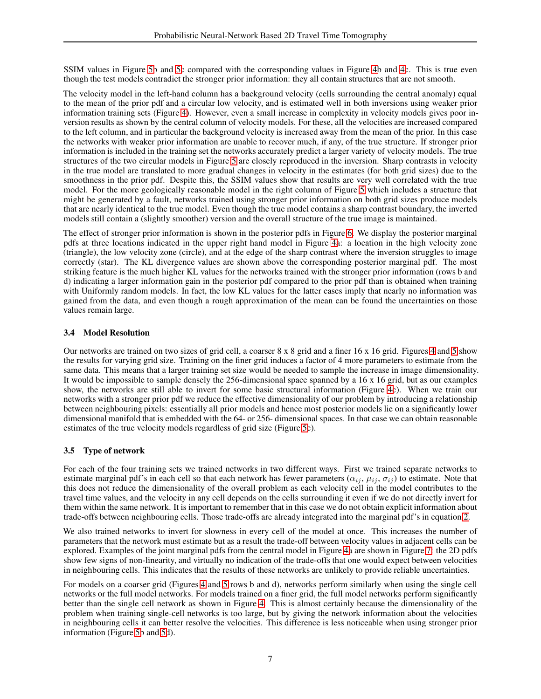SSIM values in Figure [5b](#page-8-0) and [5c](#page-8-0) compared with the corresponding values in Figure [4b](#page-7-0) and [4c](#page-7-0). This is true even though the test models contradict the stronger prior information: they all contain structures that are not smooth.

The velocity model in the left-hand column has a background velocity (cells surrounding the central anomaly) equal to the mean of the prior pdf and a circular low velocity, and is estimated well in both inversions using weaker prior information training sets (Figure [4\)](#page-7-0). However, even a small increase in complexity in velocity models gives poor inversion results as shown by the central column of velocity models. For these, all the velocities are increased compared to the left column, and in particular the background velocity is increased away from the mean of the prior. In this case the networks with weaker prior information are unable to recover much, if any, of the true structure. If stronger prior information is included in the training set the networks accurately predict a larger variety of velocity models. The true structures of the two circular models in Figure [5](#page-8-0) are closely reproduced in the inversion. Sharp contrasts in velocity in the true model are translated to more gradual changes in velocity in the estimates (for both grid sizes) due to the smoothness in the prior pdf. Despite this, the SSIM values show that results are very well correlated with the true model. For the more geologically reasonable model in the right column of Figure [5](#page-8-0) which includes a structure that might be generated by a fault, networks trained using stronger prior information on both grid sizes produce models that are nearly identical to the true model. Even though the true model contains a sharp contrast boundary, the inverted models still contain a (slightly smoother) version and the overall structure of the true image is maintained.

The effect of stronger prior information is shown in the posterior pdfs in Figure [6.](#page-9-0) We display the posterior marginal pdfs at three locations indicated in the upper right hand model in Figure [4a](#page-7-0): a location in the high velocity zone (triangle), the low velocity zone (circle), and at the edge of the sharp contrast where the inversion struggles to image correctly (star). The KL divergence values are shown above the corresponding posterior marginal pdf. The most striking feature is the much higher KL values for the networks trained with the stronger prior information (rows b and d) indicating a larger information gain in the posterior pdf compared to the prior pdf than is obtained when training with Uniformly random models. In fact, the low KL values for the latter cases imply that nearly no information was gained from the data, and even though a rough approximation of the mean can be found the uncertainties on those values remain large.

# 3.4 Model Resolution

Our networks are trained on two sizes of grid cell, a coarser 8 x 8 grid and a finer 16 x 16 grid. Figures [4](#page-7-0) and [5](#page-8-0) show the results for varying grid size. Training on the finer grid induces a factor of 4 more parameters to estimate from the same data. This means that a larger training set size would be needed to sample the increase in image dimensionality. It would be impossible to sample densely the 256-dimensional space spanned by a 16 x 16 grid, but as our examples show, the networks are still able to invert for some basic structural information (Figure [4c](#page-7-0)). When we train our networks with a stronger prior pdf we reduce the effective dimensionality of our problem by introducing a relationship between neighbouring pixels: essentially all prior models and hence most posterior models lie on a significantly lower dimensional manifold that is embedded with the 64- or 256- dimensional spaces. In that case we can obtain reasonable estimates of the true velocity models regardless of grid size (Figure [5c](#page-8-0)).

# 3.5 Type of network

For each of the four training sets we trained networks in two different ways. First we trained separate networks to estimate marginal pdf's in each cell so that each network has fewer parameters  $(\alpha_{ij}, \mu_{ij}, \sigma_{ij})$  to estimate. Note that this does not reduce the dimensionality of the overall problem as each velocity cell in the model contributes to the travel time values, and the velocity in any cell depends on the cells surrounding it even if we do not directly invert for them within the same network. It is important to remember that in this case we do not obtain explicit information about trade-offs between neighbouring cells. Those trade-offs are already integrated into the marginal pdf's in equation [2.](#page-2-2)

We also trained networks to invert for slowness in every cell of the model at once. This increases the number of parameters that the network must estimate but as a result the trade-off between velocity values in adjacent cells can be explored. Examples of the joint marginal pdfs from the central model in Figure [4a](#page-7-0) are shown in Figure [7:](#page-9-1) the 2D pdfs show few signs of non-linearity, and virtually no indication of the trade-offs that one would expect between velocities in neighbouring cells. This indicates that the results of these networks are unlikely to provide reliable uncertainties.

For models on a coarser grid (Figures [4](#page-7-0) and [5](#page-8-0) rows b and d), networks perform similarly when using the single cell networks or the full model networks. For models trained on a finer grid, the full model networks perform significantly better than the single cell network as shown in Figure [4.](#page-7-0) This is almost certainly because the dimensionality of the problem when training single-cell networks is too large, but by giving the network information about the velocities in neighbouring cells it can better resolve the velocities. This difference is less noticeable when using stronger prior information (Figure [5b](#page-8-0) and [5d](#page-8-0)).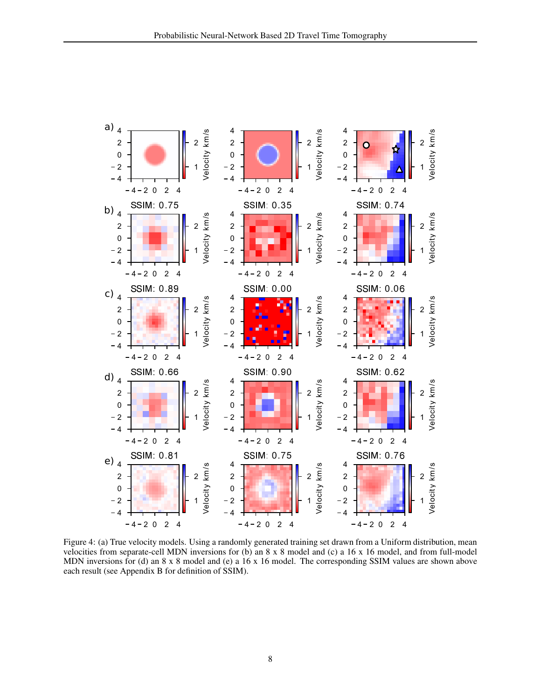

<span id="page-7-0"></span>Figure 4: (a) True velocity models. Using a randomly generated training set drawn from a Uniform distribution, mean velocities from separate-cell MDN inversions for (b) an  $8 \times 8$  model and (c) a 16  $\times$  16 model, and from full-model MDN inversions for (d) an  $8 \times 8$  model and (e) a 16 x 16 model. The corresponding SSIM values are shown above each result (see Appendix B for definition of SSIM).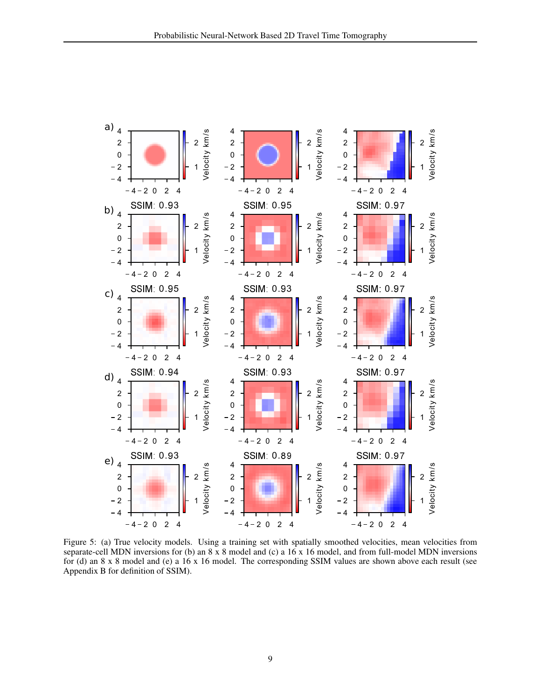

<span id="page-8-0"></span>Figure 5: (a) True velocity models. Using a training set with spatially smoothed velocities, mean velocities from separate-cell MDN inversions for (b) an  $8 \times 8$  model and (c) a 16 x 16 model, and from full-model MDN inversions for (d) an  $8 \times 8$  model and (e) a 16 x 16 model. The corresponding SSIM values are shown above each result (see Appendix B for definition of SSIM).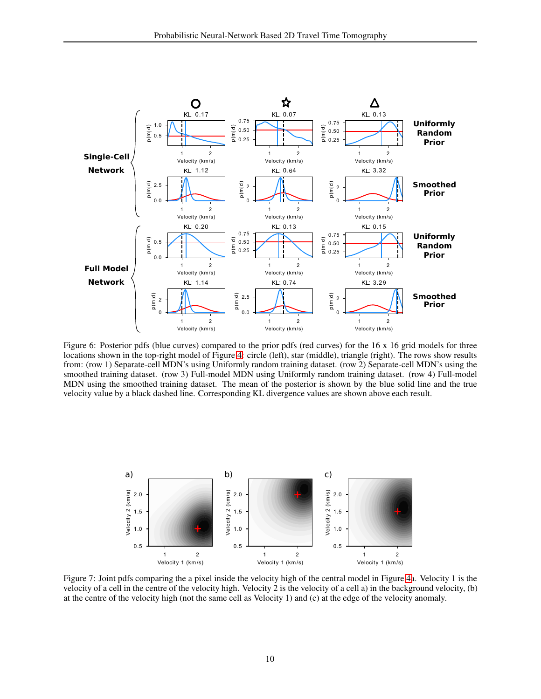

<span id="page-9-0"></span>Figure 6: Posterior pdfs (blue curves) compared to the prior pdfs (red curves) for the 16 x 16 grid models for three locations shown in the top-right model of Figure [4:](#page-7-0) circle (left), star (middle), triangle (right). The rows show results from: (row 1) Separate-cell MDN's using Uniformly random training dataset. (row 2) Separate-cell MDN's using the smoothed training dataset. (row 3) Full-model MDN using Uniformly random training dataset. (row 4) Full-model MDN using the smoothed training dataset. The mean of the posterior is shown by the blue solid line and the true velocity value by a black dashed line. Corresponding KL divergence values are shown above each result.



<span id="page-9-1"></span>Figure 7: Joint pdfs comparing the a pixel inside the velocity high of the central model in Figure [4a](#page-7-0). Velocity 1 is the velocity of a cell in the centre of the velocity high. Velocity 2 is the velocity of a cell a) in the background velocity, (b) at the centre of the velocity high (not the same cell as Velocity 1) and (c) at the edge of the velocity anomaly.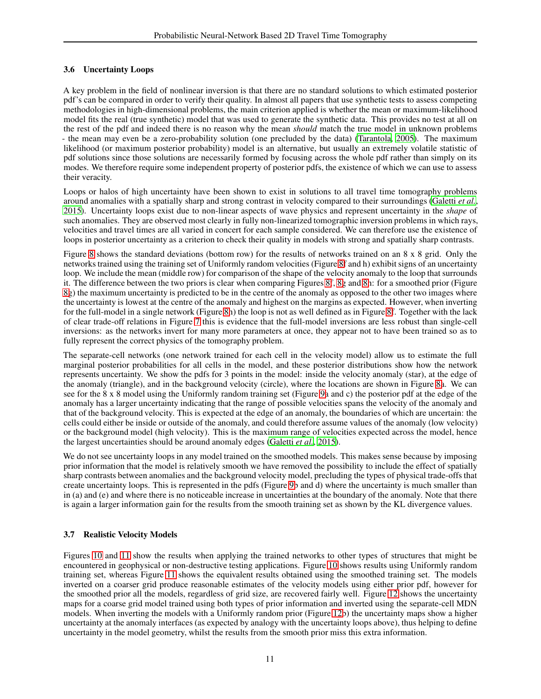### 3.6 Uncertainty Loops

A key problem in the field of nonlinear inversion is that there are no standard solutions to which estimated posterior pdf's can be compared in order to verify their quality. In almost all papers that use synthetic tests to assess competing methodologies in high-dimensional problems, the main criterion applied is whether the mean or maximum-likelihood model fits the real (true synthetic) model that was used to generate the synthetic data. This provides no test at all on the rest of the pdf and indeed there is no reason why the mean *should* match the true model in unknown problems - the mean may even be a zero-probability solution (one precluded by the data) [\(Tarantola, 2005\)](#page-20-5). The maximum likelihood (or maximum posterior probability) model is an alternative, but usually an extremely volatile statistic of pdf solutions since those solutions are necessarily formed by focusing across the whole pdf rather than simply on its modes. We therefore require some independent property of posterior pdfs, the existence of which we can use to assess their veracity.

Loops or halos of high uncertainty have been shown to exist in solutions to all travel time tomography problems around anomalies with a spatially sharp and strong contrast in velocity compared to their surroundings [\(Galetti](#page-19-3) *et al.*, [2015\)](#page-19-3). Uncertainty loops exist due to non-linear aspects of wave physics and represent uncertainty in the *shape* of such anomalies. They are observed most clearly in fully non-linearized tomographic inversion problems in which rays, velocities and travel times are all varied in concert for each sample considered. We can therefore use the existence of loops in posterior uncertainty as a criterion to check their quality in models with strong and spatially sharp contrasts.

Figure [8](#page-11-0) shows the standard deviations (bottom row) for the results of networks trained on an 8 x 8 grid. Only the networks trained using the training set of Uniformly random velocities (Figure [8f](#page-11-0) and h) exhibit signs of an uncertainty loop. We include the mean (middle row) for comparison of the shape of the velocity anomaly to the loop that surrounds it. The difference between the two priors is clear when comparing Figures [8f](#page-11-0), [8g](#page-11-0) and [8h](#page-11-0): for a smoothed prior (Figure [8g](#page-11-0)) the maximum uncertainty is predicted to be in the centre of the anomaly as opposed to the other two images where the uncertainty is lowest at the centre of the anomaly and highest on the margins as expected. However, when inverting for the full-model in a single network (Figure [8h](#page-11-0)) the loop is not as well defined as in Figure [8f](#page-11-0). Together with the lack of clear trade-off relations in Figure [7](#page-9-1) this is evidence that the full-model inversions are less robust than single-cell inversions: as the networks invert for many more parameters at once, they appear not to have been trained so as to fully represent the correct physics of the tomography problem.

The separate-cell networks (one network trained for each cell in the velocity model) allow us to estimate the full marginal posterior probabilities for all cells in the model, and these posterior distributions show how the network represents uncertainty. We show the pdfs for 3 points in the model: inside the velocity anomaly (star), at the edge of the anomaly (triangle), and in the background velocity (circle), where the locations are shown in Figure [8a](#page-11-0). We can see for the 8 x 8 model using the Uniformly random training set (Figure [9a](#page-12-0) and c) the posterior pdf at the edge of the anomaly has a larger uncertainty indicating that the range of possible velocities spans the velocity of the anomaly and that of the background velocity. This is expected at the edge of an anomaly, the boundaries of which are uncertain: the cells could either be inside or outside of the anomaly, and could therefore assume values of the anomaly (low velocity) or the background model (high velocity). This is the maximum range of velocities expected across the model, hence the largest uncertainties should be around anomaly edges [\(Galetti](#page-19-3) *et al.*, [2015\)](#page-19-3).

We do not see uncertainty loops in any model trained on the smoothed models. This makes sense because by imposing prior information that the model is relatively smooth we have removed the possibility to include the effect of spatially sharp contrasts between anomalies and the background velocity model, precluding the types of physical trade-offs that create uncertainty loops. This is represented in the pdfs (Figure [9b](#page-12-0) and d) where the uncertainty is much smaller than in (a) and (e) and where there is no noticeable increase in uncertainties at the boundary of the anomaly. Note that there is again a larger information gain for the results from the smooth training set as shown by the KL divergence values.

# 3.7 Realistic Velocity Models

Figures [10](#page-13-0) and [11](#page-14-0) show the results when applying the trained networks to other types of structures that might be encountered in geophysical or non-destructive testing applications. Figure [10](#page-13-0) shows results using Uniformly random training set, whereas Figure [11](#page-14-0) shows the equivalent results obtained using the smoothed training set. The models inverted on a coarser grid produce reasonable estimates of the velocity models using either prior pdf, however for the smoothed prior all the models, regardless of grid size, are recovered fairly well. Figure [12](#page-15-0) shows the uncertainty maps for a coarse grid model trained using both types of prior information and inverted using the separate-cell MDN models. When inverting the models with a Uniformly random prior (Figure [12b](#page-15-0)) the uncertainty maps show a higher uncertainty at the anomaly interfaces (as expected by analogy with the uncertainty loops above), thus helping to define uncertainty in the model geometry, whilst the results from the smooth prior miss this extra information.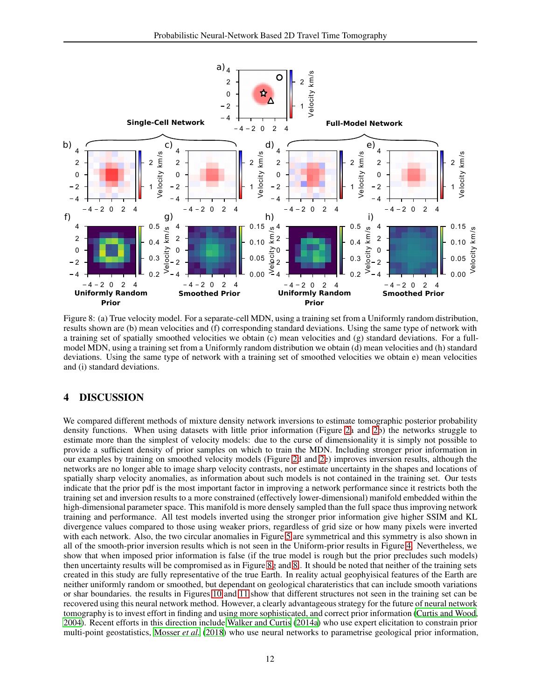

<span id="page-11-0"></span>Figure 8: (a) True velocity model. For a separate-cell MDN, using a training set from a Uniformly random distribution, results shown are (b) mean velocities and (f) corresponding standard deviations. Using the same type of network with a training set of spatially smoothed velocities we obtain (c) mean velocities and (g) standard deviations. For a fullmodel MDN, using a training set from a Uniformly random distribution we obtain (d) mean velocities and (h) standard deviations. Using the same type of network with a training set of smoothed velocities we obtain e) mean velocities and (i) standard deviations.

# 4 DISCUSSION

We compared different methods of mixture density network inversions to estimate tomographic posterior probability density functions. When using datasets with little prior information (Figure [2a](#page-3-1) and [2b](#page-3-1)) the networks struggle to estimate more than the simplest of velocity models: due to the curse of dimensionality it is simply not possible to provide a sufficient density of prior samples on which to train the MDN. Including stronger prior information in our examples by training on smoothed velocity models (Figure [2d](#page-3-1) and [2e](#page-3-1)) improves inversion results, although the networks are no longer able to image sharp velocity contrasts, nor estimate uncertainty in the shapes and locations of spatially sharp velocity anomalies, as information about such models is not contained in the training set. Our tests indicate that the prior pdf is the most important factor in improving a network performance since it restricts both the training set and inversion results to a more constrained (effectively lower-dimensional) manifold embedded within the high-dimensional parameter space. This manifold is more densely sampled than the full space thus improving network training and performance. All test models inverted using the stronger prior information give higher SSIM and KL divergence values compared to those using weaker priors, regardless of grid size or how many pixels were inverted with each network. Also, the two circular anomalies in Figure [5](#page-8-0) are symmetrical and this symmetry is also shown in all of the smooth-prior inversion results which is not seen in the Uniform-prior results in Figure [4.](#page-7-0) Nevertheless, we show that when imposed prior information is false (if the true model is rough but the prior precludes such models) then uncertainty results will be compromised as in Figure [8g](#page-11-0) and [8i](#page-11-0). It should be noted that neither of the training sets created in this study are fully representative of the true Earth. In reality actual geophyisical features of the Earth are neither uniformly random or smoothed, but dependant on geological charateristics that can include smooth variations or shar boundaries. the results in Figures [10](#page-13-0) and [11](#page-14-0) show that different structures not seen in the training set can be recovered using this neural network method. However, a clearly advantageous strategy for the future of neural network tomography is to invest effort in finding and using more sophisticated, and correct prior information [\(Curtis and Wood,](#page-18-11) [2004\)](#page-18-11). Recent efforts in this direction include [Walker and Curtis](#page-20-6) [\(2014a\)](#page-20-6) who use expert elicitation to constrain prior multi-point geostatistics, [Mosser](#page-19-22) *et al.* [\(2018\)](#page-19-22) who use neural networks to parametrise geological prior information,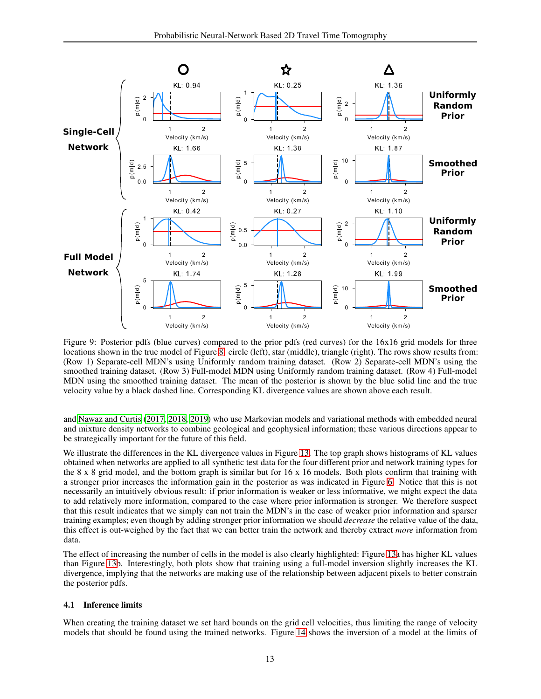

<span id="page-12-0"></span>Figure 9: Posterior pdfs (blue curves) compared to the prior pdfs (red curves) for the 16x16 grid models for three locations shown in the true model of Figure 8: circle (left), star (middle), triangle (right). The rows show results from: (Row 1) Separate-cell MDN's using Uniformly random training dataset. (Row 2) Separate-cell MDN's using the smoothed training dataset. (Row 3) Full-model MDN using Uniformly random training dataset. (Row 4) Full-model MDN using the smoothed training dataset. The mean of the posterior is shown by the blue solid line and the true velocity value by a black dashed line. Corresponding KL divergence values are shown above each result.

and Nawaz and Curtis (2017, 2018, 2019) who use Markovian models and variational methods with embedded neural and mixture density networks to combine geological and geophysical information; these various directions appear to be strategically important for the future of this field.

We illustrate the differences in the KL divergence values in Figure 13. The top graph shows histograms of KL values obtained when networks are applied to all synthetic test data for the four different prior and network training types for the  $8 \times 8$  grid model, and the bottom graph is similar but for  $16 \times 16$  models. Both plots confirm that training with a stronger prior increases the information gain in the posterior as was indicated in Figure 6. Notice that this is not necessarily an intuitively obvious result: if prior information is weaker or less informative, we might expect the data to add relatively more information, compared to the case where prior information is stronger. We therefore suspect that this result indicates that we simply can not train the MDN's in the case of weaker prior information and sparser training examples; even though by adding stronger prior information we should *decrease* the relative value of the data, this effect is out-weighed by the fact that we can better train the network and thereby extract *more* information from data.

The effect of increasing the number of cells in the model is also clearly highlighted: Figure 13a has higher KL values than Figure 13b. Interestingly, both plots show that training using a full-model inversion slightly increases the KL divergence, implying that the networks are making use of the relationship between adjacent pixels to better constrain the posterior pdfs.

#### 4.1 Inference limits

When creating the training dataset we set hard bounds on the grid cell velocities, thus limiting the range of velocity models that should be found using the trained networks. Figure 14 shows the inversion of a model at the limits of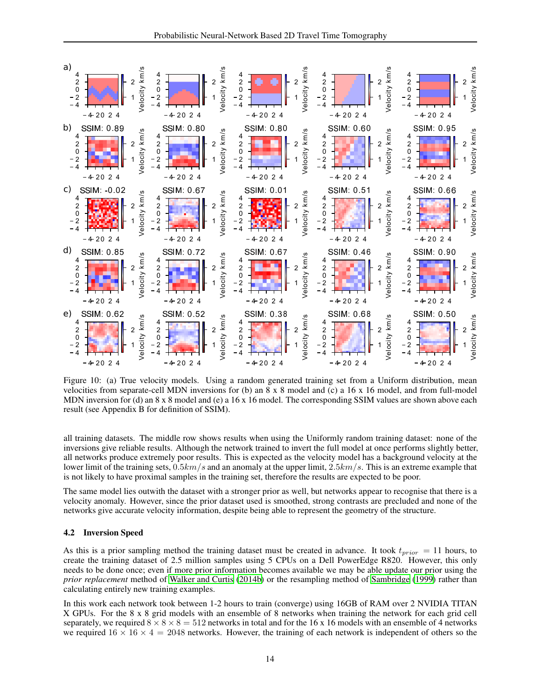

<span id="page-13-0"></span>Figure 10: (a) True velocity models. Using a random generated training set from a Uniform distribution, mean velocities from separate-cell MDN inversions for (b) an  $8 \times 8$  model and (c) a 16  $\times$  16 model, and from full-model MDN inversion for (d) an  $8 \times 8$  model and (e) a  $16 \times 16$  model. The corresponding SSIM values are shown above each result (see Appendix B for definition of SSIM).

all training datasets. The middle row shows results when using the Uniformly random training dataset: none of the inversions give reliable results. Although the network trained to invert the full model at once performs slightly better, all networks produce extremely poor results. This is expected as the velocity model has a background velocity at the lower limit of the training sets,  $0.5km/s$  and an anomaly at the upper limit,  $2.5km/s$ . This is an extreme example that is not likely to have proximal samples in the training set, therefore the results are expected to be poor.

The same model lies outwith the dataset with a stronger prior as well, but networks appear to recognise that there is a velocity anomaly. However, since the prior dataset used is smoothed, strong contrasts are precluded and none of the networks give accurate velocity information, despite being able to represent the geometry of the structure.

#### **4.2 Inversion Speed**

As this is a prior sampling method the training dataset must be created in advance. It took  $t_{prior} = 11$  hours, to create the training dataset of 2.5 million samples using 5 CPUs on a Dell PowerEdge R820. However, this only needs to be done once; even if more prior information becomes available we may be able update our prior using the *prior replacement* method of Walker and Curtis (2014b) or the resampling method of Sambridge (1999) rather than calculating entirely new training examples.

In this work each network took between 1-2 hours to train (converge) using 16GB of RAM over 2 NVIDIA TITAN X GPUs. For the 8 x 8 grid models with an ensemble of 8 networks when training the network for each grid cell separately, we required  $8 \times 8 \times 8 = 512$  networks in total and for the 16 x 16 models with an ensemble of 4 networks we required  $16 \times 16 \times 4 = 2048$  networks. However, the training of each network is independent of others so the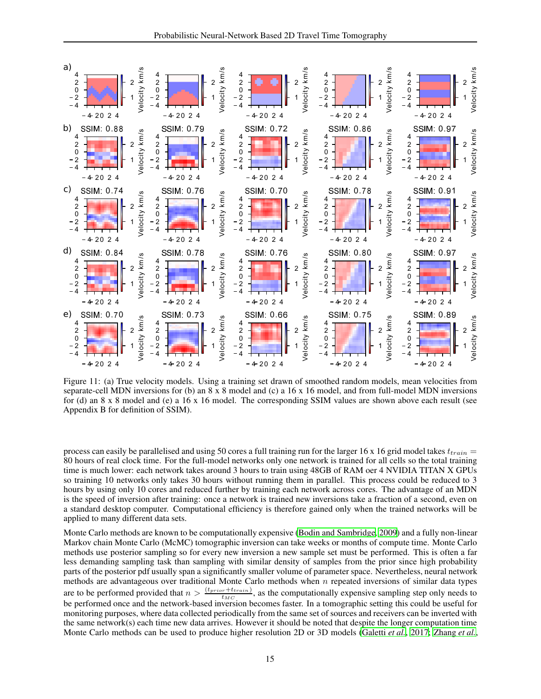

<span id="page-14-0"></span>Figure 11: (a) True velocity models. Using a training set drawn of smoothed random models, mean velocities from separate-cell MDN inversions for (b) an  $8 \times 8$  model and (c) a 16  $\times$  16 model, and from full-model MDN inversions for (d) an  $8 \times 8$  model and (e) a 16 x 16 model. The corresponding SSIM values are shown above each result (see Appendix B for definition of SSIM).

process can easily be parallelised and using 50 cores a full training run for the larger 16 x 16 grid model takes  $t_{train}$ 80 hours of real clock time. For the full-model networks only one network is trained for all cells so the total training time is much lower: each network takes around 3 hours to train using 48GB of RAM oer 4 NVIDIA TITAN X GPUs so training 10 networks only takes 30 hours without running them in parallel. This process could be reduced to 3 hours by using only 10 cores and reduced further by training each network across cores. The advantage of an MDN is the speed of inversion after training: once a network is trained new inversions take a fraction of a second, even on a standard desktop computer. Computational efficiency is therefore gained only when the trained networks will be applied to many different data sets.

Monte Carlo methods are known to be computationally expensive (Bodin and Sambridge, 2009) and a fully non-linear Markov chain Monte Carlo (McMC) tomographic inversion can take weeks or months of compute time. Monte Carlo methods use posterior sampling so for every new inversion a new sample set must be performed. This is often a far less demanding sampling task than sampling with similar density of samples from the prior since high probability parts of the posterior pdf usually span a significantly smaller volume of parameter space. Nevertheless, neural network methods are advantageous over traditional Monte Carlo methods when  $n$  repeated inversions of similar data types are to be performed provided that  $n > \frac{(t_{prior} + t_{train})}{t_{prior} + t_{train}}$ , as the computationally expensive sampling step only needs to  $t_{MC}$ be performed once and the network-based inversion becomes faster. In a tomographic setting this could be useful for monitoring purposes, where data collected periodically from the same set of sources and receivers can be inverted with the same network(s) each time new data arrives. However it should be noted that despite the longer computation time Monte Carlo methods can be used to produce higher resolution 2D or 3D models (Galetti et al., 2017; Zhang et al.,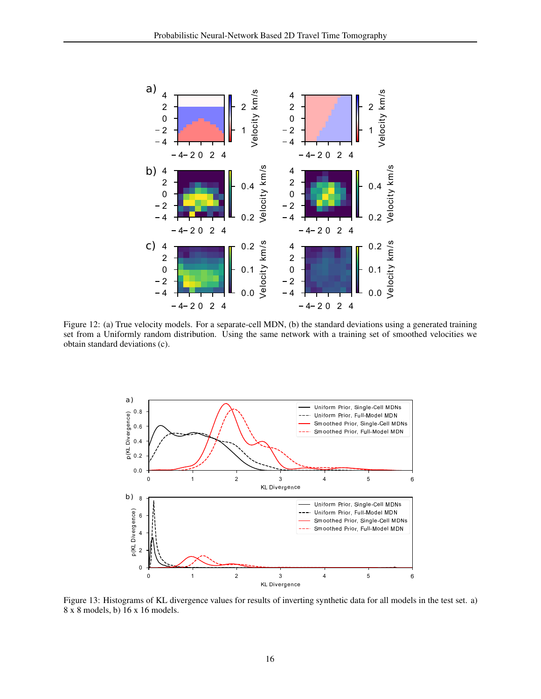

<span id="page-15-0"></span>Figure 12: (a) True velocity models. For a separate-cell MDN, (b) the standard deviations using a generated training set from a Uniformly random distribution. Using the same network with a training set of smoothed velocities we obtain standard deviations (c).



<span id="page-15-1"></span>Figure 13: Histograms of KL divergence values for results of inverting synthetic data for all models in the test set. a) 8 x 8 models, b) 16 x 16 models.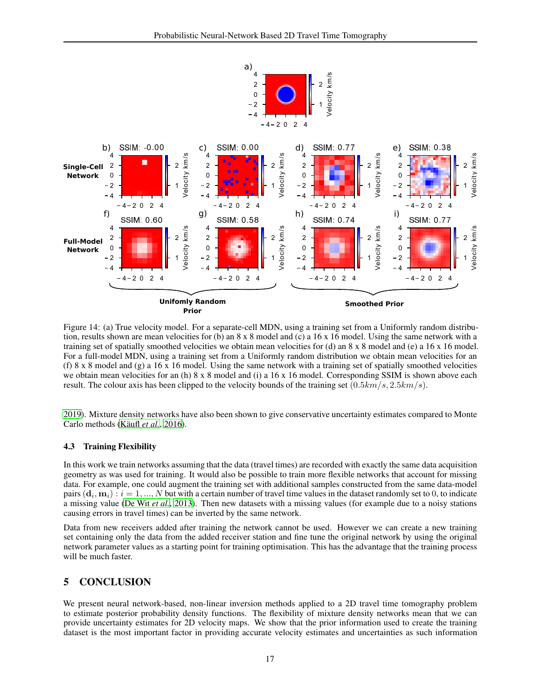

<span id="page-16-0"></span>Figure 14: (a) True velocity model. For a separate-cell MDN, using a training set from a Uniformly random distribution, results shown are mean velocities for (b) an  $8 \times 8$  model and (c) a 16 x 16 model. Using the same network with a training set of spatially smoothed velocities we obtain mean velocities for (d) an  $8 \times 8$  model and (e) a 16 x 16 model. For a full-model MDN, using a training set from a Uniformly random distribution we obtain mean velocities for an (f)  $8 \times 8$  model and (g) a 16 x 16 model. Using the same network with a training set of spatially smoothed velocities we obtain mean velocities for an (h)  $8 \times 8$  model and (i) a 16  $\times$  16 model. Corresponding SSIM is shown above each result. The colour axis has been clipped to the velocity bounds of the training set  $(0.5km/s, 2.5km/s)$ .

2019). Mixture density networks have also been shown to give conservative uncertainty estimates compared to Monte Carlo methods (Käufl et al., 2016).

#### **Training Flexibility** 4.3

In this work we train networks assuming that the data (travel times) are recorded with exactly the same data acquisition geometry as was used for training. It would also be possible to train more flexible networks that account for missing data. For example, one could augment the training set with additional samples constructed from the same data-model pairs  $(\mathbf{d}_i, \mathbf{m}_i)$ :  $i = 1, ..., N$  but with a certain number of travel time values in the dataset randomly set to 0, to indicate a missing value (De Wit et al., 2013). Then new datasets with a missing values (for example due to a noisy stations causing errors in travel times) can be inverted by the same network.

Data from new receivers added after training the network cannot be used. However we can create a new training set containing only the data from the added receiver station and fine tune the original network by using the original network parameter values as a starting point for training optimisation. This has the advantage that the training process will be much faster.

#### 5 **CONCLUSION**

We present neural network-based, non-linear inversion methods applied to a 2D travel time tomography problem to estimate posterior probability density functions. The flexibility of mixture density networks mean that we can provide uncertainty estimates for 2D velocity maps. We show that the prior information used to create the training dataset is the most important factor in providing accurate velocity estimates and uncertainties as such information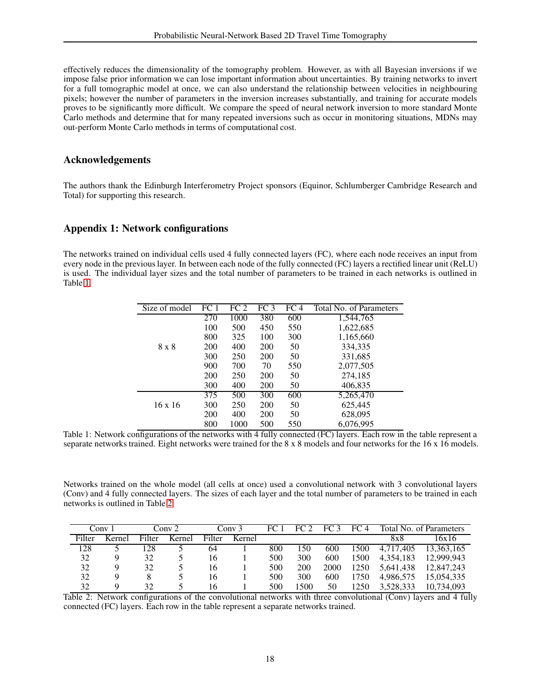effectively reduces the dimensionality of the tomography problem. However, as with all Bayesian inversions if we impose false prior information we can lose important information about uncertainties. By training networks to invert for a full tomographic model at once, we can also understand the relationship between velocities in neighbouring pixels; however the number of parameters in the inversion increases substantially, and training for accurate models proves to be significantly more difficult. We compare the speed of neural network inversion to more standard Monte Carlo methods and determine that for many repeated inversions such as occur in monitoring situations, MDNs may out-perform Monte Carlo methods in terms of computational cost.

# Acknowledgements

The authors thank the Edinburgh Interferometry Project sponsors (Equinor, Schlumberger Cambridge Research and Total) for supporting this research.

# Appendix 1: Network configurations

The networks trained on individual cells used 4 fully connected layers (FC), where each node receives an input from every node in the previous layer. In between each node of the fully connected (FC) layers a rectified linear unit (ReLU) is used. The individual layer sizes and the total number of parameters to be trained in each networks is outlined in Table [1.](#page-17-0)

| Size of model  | FC <sub>1</sub> | FC 2 | FC 3 | FC 4 | Total No. of Parameters |
|----------------|-----------------|------|------|------|-------------------------|
|                | 270             | 1000 | 380  | 600  | 1,544,765               |
|                | 100             | 500  | 450  | 550  | 1,622,685               |
|                | 800             | 325  | 100  | 300  | 1,165,660               |
| $8 \times 8$   | 200             | 400  | 200  | 50   | 334,335                 |
|                | 300             | 250  | 200  | 50   | 331,685                 |
|                | 900             | 700  | 70   | 550  | 2,077,505               |
|                | <b>200</b>      | 250  | 200  | 50   | 274,185                 |
|                | 300             | 400  | 200  | 50   | 406,835                 |
|                | 375             | 500  | 300  | 600  | 5,265,470               |
| $16 \times 16$ | 300             | 250  | 200  | 50   | 625,445                 |
|                | <b>200</b>      | 400  | 200  | 50   | 628,095                 |
|                | 800             | 1000 | 500  | 550  | 6,076,995               |

<span id="page-17-0"></span>Table 1: Network configurations of the networks with 4 fully connected (FC) layers. Each row in the table represent a separate networks trained. Eight networks were trained for the 8 x 8 models and four networks for the 16 x 16 models.

Networks trained on the whole model (all cells at once) used a convolutional network with 3 convolutional layers (Conv) and 4 fully connected layers. The sizes of each layer and the total number of parameters to be trained in each networks is outlined in Table [2.](#page-17-1)

| `onv   |        | Conv 2 |        | 20nV.3 |        | FC <sub>1</sub> | FC 2 | FC 3 | FC 4 | Total No. of Parameters |            |
|--------|--------|--------|--------|--------|--------|-----------------|------|------|------|-------------------------|------------|
| Filter | Kernel | Filter | Kernel | Filter | Kernel |                 |      |      |      | 8x8                     | 16x16      |
| 128    |        | 128    |        | 64     |        | 800             | l 50 | 600  | 1500 | 4.717.405               | 13.363.165 |
| 32     | Q      | 32     |        | 16     |        | 500             | 300  | 600  | 1500 | 4.354.183               | 12.999.943 |
| 32     | Q      | 32     |        | 16     |        | 500             | 200  | 2000 | 1250 | 5.641.438               | 12.847.243 |
| 32     |        |        |        | 16     |        | 500             | 300  | 600  | 1750 | 4.986.575               | 15.054.335 |
| 32     | Q      | 32     |        | 16     |        | 500             | 1500 | 50   | 1250 | 3.528.333               | 10.734,093 |

<span id="page-17-1"></span>Table 2: Network configurations of the convolutional networks with three convolutional (Conv) layers and 4 fully connected (FC) layers. Each row in the table represent a separate networks trained.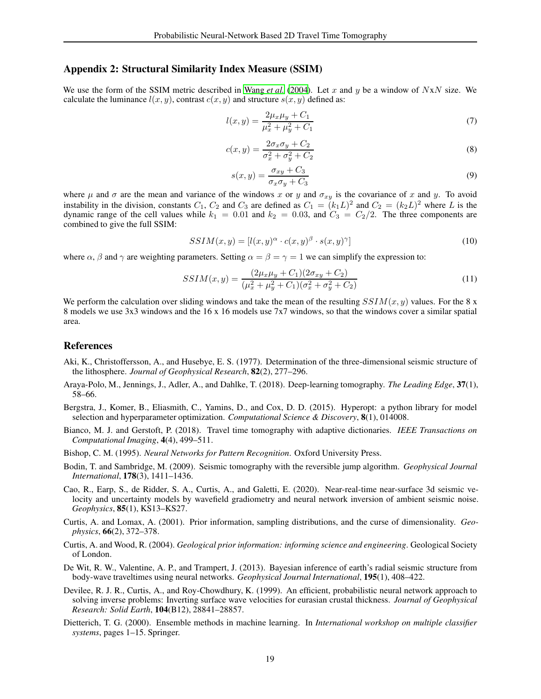### Appendix 2: Structural Similarity Index Measure (SSIM)

We use the form of the SSIM metric described in [Wang](#page-20-8) *et al.* [\(2004\)](#page-20-8). Let x and y be a window of  $NxN$  size. We calculate the luminance  $l(x, y)$ , contrast  $c(x, y)$  and structure  $s(x, y)$  defined as:

$$
l(x,y) = \frac{2\mu_x \mu_y + C_1}{\mu_x^2 + \mu_y^2 + C_1}
$$
\n(7)

$$
c(x,y) = \frac{2\sigma_x \sigma_y + C_2}{\sigma_x^2 + \sigma_y^2 + C_2}
$$
\n(8)

$$
s(x,y) = \frac{\sigma_{xy} + C_3}{\sigma_x \sigma_y + C_3} \tag{9}
$$

where  $\mu$  and  $\sigma$  are the mean and variance of the windows x or y and  $\sigma_{xy}$  is the covariance of x and y. To avoid instability in the division, constants  $C_1$ ,  $C_2$  and  $C_3$  are defined as  $C_1 = (k_1L)^2$  and  $C_2 = (k_2L)^2$  where L is the dynamic range of the cell values while  $k_1 = 0.01$  and  $k_2 = 0.03$ , and  $C_3 = C_2/2$ . The three components are combined to give the full SSIM:

$$
SSIM(x, y) = [l(x, y)^{\alpha} \cdot c(x, y)^{\beta} \cdot s(x, y)^{\gamma}]
$$
\n(10)

where  $\alpha$ ,  $\beta$  and  $\gamma$  are weighting parameters. Setting  $\alpha = \beta = \gamma = 1$  we can simplify the expression to:

$$
SSIM(x,y) = \frac{(2\mu_x \mu_y + C_1)(2\sigma_{xy} + C_2)}{(\mu_x^2 + \mu_y^2 + C_1)(\sigma_x^2 + \sigma_y^2 + C_2)}
$$
(11)

We perform the calculation over sliding windows and take the mean of the resulting  $SSIM(x, y)$  values. For the 8 x 8 models we use 3x3 windows and the 16 x 16 models use 7x7 windows, so that the windows cover a similar spatial area.

#### References

- <span id="page-18-0"></span>Aki, K., Christoffersson, A., and Husebye, E. S. (1977). Determination of the three-dimensional seismic structure of the lithosphere. *Journal of Geophysical Research*, 82(2), 277–296.
- <span id="page-18-4"></span>Araya-Polo, M., Jennings, J., Adler, A., and Dahlke, T. (2018). Deep-learning tomography. *The Leading Edge*, 37(1), 58–66.
- <span id="page-18-10"></span>Bergstra, J., Komer, B., Eliasmith, C., Yamins, D., and Cox, D. D. (2015). Hyperopt: a python library for model selection and hyperparameter optimization. *Computational Science & Discovery*, 8(1), 014008.
- <span id="page-18-5"></span>Bianco, M. J. and Gerstoft, P. (2018). Travel time tomography with adaptive dictionaries. *IEEE Transactions on Computational Imaging*, 4(4), 499–511.
- <span id="page-18-3"></span>Bishop, C. M. (1995). *Neural Networks for Pattern Recognition*. Oxford University Press.
- <span id="page-18-1"></span>Bodin, T. and Sambridge, M. (2009). Seismic tomography with the reversible jump algorithm. *Geophysical Journal International*, 178(3), 1411–1436.
- <span id="page-18-7"></span>Cao, R., Earp, S., de Ridder, S. A., Curtis, A., and Galetti, E. (2020). Near-real-time near-surface 3d seismic velocity and uncertainty models by wavefield gradiometry and neural network inversion of ambient seismic noise. *Geophysics*, 85(1), KS13–KS27.
- <span id="page-18-9"></span>Curtis, A. and Lomax, A. (2001). Prior information, sampling distributions, and the curse of dimensionality. *Geophysics*, 66(2), 372–378.
- <span id="page-18-11"></span>Curtis, A. and Wood, R. (2004). *Geological prior information: informing science and engineering*. Geological Society of London.
- <span id="page-18-6"></span>De Wit, R. W., Valentine, A. P., and Trampert, J. (2013). Bayesian inference of earth's radial seismic structure from body-wave traveltimes using neural networks. *Geophysical Journal International*, 195(1), 408–422.
- <span id="page-18-2"></span>Devilee, R. J. R., Curtis, A., and Roy-Chowdhury, K. (1999). An efficient, probabilistic neural network approach to solving inverse problems: Inverting surface wave velocities for eurasian crustal thickness. *Journal of Geophysical Research: Solid Earth*, 104(B12), 28841–28857.
- <span id="page-18-8"></span>Dietterich, T. G. (2000). Ensemble methods in machine learning. In *International workshop on multiple classifier systems*, pages 1–15. Springer.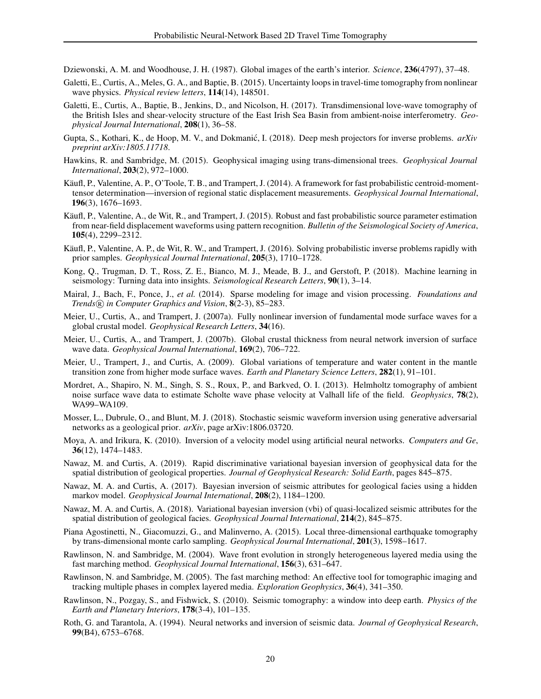<span id="page-19-0"></span>Dziewonski, A. M. and Woodhouse, J. H. (1987). Global images of the earth's interior. *Science*, 236(4797), 37–48.

- <span id="page-19-3"></span>Galetti, E., Curtis, A., Meles, G. A., and Baptie, B. (2015). Uncertainty loops in travel-time tomography from nonlinear wave physics. *Physical review letters*, 114(14), 148501.
- <span id="page-19-23"></span>Galetti, E., Curtis, A., Baptie, B., Jenkins, D., and Nicolson, H. (2017). Transdimensional love-wave tomography of the British Isles and shear-velocity structure of the East Irish Sea Basin from ambient-noise interferometry. *Geophysical Journal International*, 208(1), 36–58.
- <span id="page-19-9"></span>Gupta, S., Kothari, K., de Hoop, M. V., and Dokmanić, I. (2018). Deep mesh projectors for inverse problems.  $arXiv$ *preprint arXiv:1805.11718*.
- <span id="page-19-4"></span>Hawkins, R. and Sambridge, M. (2015). Geophysical imaging using trans-dimensional trees. *Geophysical Journal International*, 203(2), 972–1000.
- <span id="page-19-15"></span>Käufl, P., Valentine, A. P., O'Toole, T. B., and Trampert, J. (2014). A framework for fast probabilistic centroid-momenttensor determination—inversion of regional static displacement measurements. *Geophysical Journal International*, 196(3), 1676–1693.
- <span id="page-19-16"></span>Käufl, P., Valentine, A., de Wit, R., and Trampert, J. (2015). Robust and fast probabilistic source parameter estimation from near-field displacement waveforms using pattern recognition. *Bulletin of the Seismological Society of America*, 105(4), 2299–2312.
- <span id="page-19-6"></span>Käufl, P., Valentine, A. P., de Wit, R. W., and Trampert, J. (2016). Solving probabilistic inverse problems rapidly with prior samples. *Geophysical Journal International*, 205(3), 1710–1728.
- <span id="page-19-11"></span>Kong, Q., Trugman, D. T., Ross, Z. E., Bianco, M. J., Meade, B. J., and Gerstoft, P. (2018). Machine learning in seismology: Turning data into insights. *Seismological Research Letters*, 90(1), 3–14.
- <span id="page-19-10"></span>Mairal, J., Bach, F., Ponce, J., *et al.* (2014). Sparse modeling for image and vision processing. *Foundations and Trends* <sup>R</sup> *in Computer Graphics and Vision*, 8(2-3), 85–283.
- <span id="page-19-12"></span>Meier, U., Curtis, A., and Trampert, J. (2007a). Fully nonlinear inversion of fundamental mode surface waves for a global crustal model. *Geophysical Research Letters*, 34(16).
- <span id="page-19-13"></span>Meier, U., Curtis, A., and Trampert, J. (2007b). Global crustal thickness from neural network inversion of surface wave data. *Geophysical Journal International*, 169(2), 706–722.
- <span id="page-19-14"></span>Meier, U., Trampert, J., and Curtis, A. (2009). Global variations of temperature and water content in the mantle transition zone from higher mode surface waves. *Earth and Planetary Science Letters*, 282(1), 91–101.
- <span id="page-19-1"></span>Mordret, A., Shapiro, N. M., Singh, S. S., Roux, P., and Barkved, O. I. (2013). Helmholtz tomography of ambient noise surface wave data to estimate Scholte wave phase velocity at Valhall life of the field. *Geophysics*, 78(2), WA99–WA109.
- <span id="page-19-22"></span>Mosser, L., Dubrule, O., and Blunt, M. J. (2018). Stochastic seismic waveform inversion using generative adversarial networks as a geological prior. *arXiv*, page arXiv:1806.03720.
- <span id="page-19-8"></span>Moya, A. and Irikura, K. (2010). Inversion of a velocity model using artificial neural networks. *Computers and Ge*, 36(12), 1474–1483.
- <span id="page-19-19"></span>Nawaz, M. and Curtis, A. (2019). Rapid discriminative variational bayesian inversion of geophysical data for the spatial distribution of geological properties. *Journal of Geophysical Research: Solid Earth*, pages 845–875.
- <span id="page-19-17"></span>Nawaz, M. A. and Curtis, A. (2017). Bayesian inversion of seismic attributes for geological facies using a hidden markov model. *Geophysical Journal International*, 208(2), 1184–1200.
- <span id="page-19-18"></span>Nawaz, M. A. and Curtis, A. (2018). Variational bayesian inversion (vbi) of quasi-localized seismic attributes for the spatial distribution of geological facies. *Geophysical Journal International*, 214(2), 845–875.
- <span id="page-19-5"></span>Piana Agostinetti, N., Giacomuzzi, G., and Malinverno, A. (2015). Local three-dimensional earthquake tomography by trans-dimensional monte carlo sampling. *Geophysical Journal International*, 201(3), 1598–1617.
- <span id="page-19-20"></span>Rawlinson, N. and Sambridge, M. (2004). Wave front evolution in strongly heterogeneous layered media using the fast marching method. *Geophysical Journal International*, 156(3), 631–647.
- <span id="page-19-21"></span>Rawlinson, N. and Sambridge, M. (2005). The fast marching method: An effective tool for tomographic imaging and tracking multiple phases in complex layered media. *Exploration Geophysics*, 36(4), 341–350.
- <span id="page-19-2"></span>Rawlinson, N., Pozgay, S., and Fishwick, S. (2010). Seismic tomography: a window into deep earth. *Physics of the Earth and Planetary Interiors*, 178(3-4), 101–135.
- <span id="page-19-7"></span>Roth, G. and Tarantola, A. (1994). Neural networks and inversion of seismic data. *Journal of Geophysical Research*, 99(B4), 6753–6768.